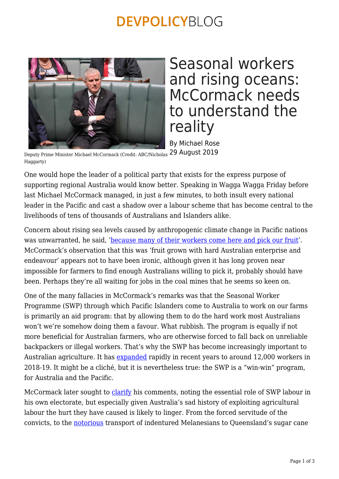## **DEVPOLICYBLOG**



## Seasonal workers and rising oceans: McCormack needs to understand the reality

By Michael Rose

Deputy Prime Minister Michael McCormack (Credit: ABC/Nicholas 29 August 2019 Haggarty)

One would hope the leader of a political party that exists for the express purpose of supporting regional Australia would know better. Speaking in Wagga Wagga Friday before last Michael McCormack managed, in just a few minutes, to both insult every national leader in the Pacific and cast a shadow over a labour scheme that has become central to the livelihoods of tens of thousands of Australians and Islanders alike.

Concern about rising sea levels caused by anthropogenic climate change in Pacific nations was unwarranted, he said, ['because many of their workers come here and pick our fruit](https://www.sbs.com.au/news/deputy-pm-says-pacific-islands-will-survive-climate-change-because-they-pick-our-fruit)'. McCormack's observation that this was 'fruit grown with hard Australian enterprise and endeavour' appears not to have been ironic, although given it has long proven near impossible for farmers to find enough Australians willing to pick it, probably should have been. Perhaps they're all waiting for jobs in the coal mines that he seems so keen on.

One of the many fallacies in McCormack's remarks was that the Seasonal Worker Programme (SWP) through which Pacific Islanders come to Australia to work on our farms is primarily an aid program: that by allowing them to do the hard work most Australians won't we're somehow doing them a favour. What rubbish. The program is equally if not more beneficial for Australian farmers, who are otherwise forced to fall back on unreliable backpackers or illegal workers. That's why the SWP has become increasingly important to Australian agriculture. It has [expanded](https://devpolicy.org/australias-seasonal-worker-program-now-bigger-than-nzs-20190725/) rapidly in recent years to around 12,000 workers in 2018-19. It might be a cliché, but it is nevertheless true: the SWP is a "win-win" program, for Australia and the Pacific.

McCormack later sought to [clarify](https://www.theguardian.com/australia-news/2019/aug/22/australias-deputy-pm-apologises-to-pacific-for-fruit-picking-comments-if-any-insult-was-taken) his comments, noting the essential role of SWP labour in his own electorate, but especially given Australia's sad history of exploiting agricultural labour the hurt they have caused is likely to linger. From the forced servitude of the convicts, to the [notorious](https://www.themonthly.com.au/issue/2019/july/1561989600/alex-mckinnon/blackbirds-australia-s-hidden-slave-trade-history) transport of indentured Melanesians to Queensland's sugar cane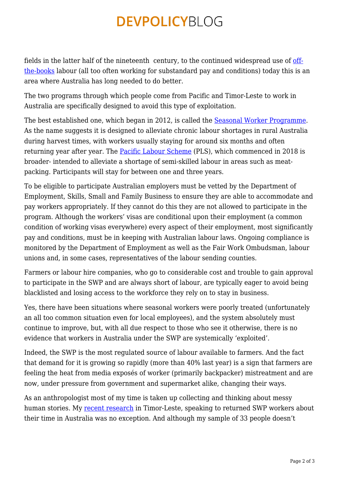## **DEVPOLICYBLOG**

fields in the latter half of the nineteenth century, to the continued widespread use of [off](https://www.smh.com.au/interactive/2016/fruit-picking-investigation/)[the-books](https://www.smh.com.au/interactive/2016/fruit-picking-investigation/) labour (all too often working for substandard pay and conditions) today this is an area where Australia has long needed to do better.

The two programs through which people come from Pacific and Timor-Leste to work in Australia are specifically designed to avoid this type of exploitation.

The best established one, which began in 2012, is called the **Seasonal Worker Programme**. As the name suggests it is designed to alleviate chronic labour shortages in rural Australia during harvest times, with workers usually staying for around six months and often returning year after year. The [Pacific Labour Scheme](https://dfat.gov.au/geo/pacific/engagement/Documents/pacific-labour-scheme.pdf) (PLS), which commenced in 2018 is broader- intended to alleviate a shortage of semi-skilled labour in areas such as meatpacking. Participants will stay for between one and three years.

To be eligible to participate Australian employers must be vetted by the Department of Employment, Skills, Small and Family Business to ensure they are able to accommodate and pay workers appropriately. If they cannot do this they are not allowed to participate in the program. Although the workers' visas are conditional upon their employment (a common condition of working visas everywhere) every aspect of their employment, most significantly pay and conditions, must be in keeping with Australian labour laws. Ongoing compliance is monitored by the Department of Employment as well as the Fair Work Ombudsman, labour unions and, in some cases, representatives of the labour sending counties.

Farmers or labour hire companies, who go to considerable cost and trouble to gain approval to participate in the SWP and are always short of labour, are typically eager to avoid being blacklisted and losing access to the workforce they rely on to stay in business.

Yes, there have been situations where seasonal workers were poorly treated (unfortunately an all too common situation even for local employees), and the system absolutely must continue to improve, but, with all due respect to those who see it otherwise, there is no evidence that workers in Australia under the SWP are systemically 'exploited'.

Indeed, the SWP is the most regulated source of labour available to farmers. And the fact that demand for it is growing so rapidly (more than 40% last year) is a sign that farmers are feeling the heat from media exposés of worker (primarily backpacker) mistreatment and are now, under pressure from government and supermarket alike, changing their ways.

As an anthropologist most of my time is taken up collecting and thinking about messy human stories. My [recent research](https://devpolicy.org/food-with-justice-informality-exploitation-and-the-swp-20190709/) in Timor-Leste, speaking to returned SWP workers about their time in Australia was no exception. And although my sample of 33 people doesn't